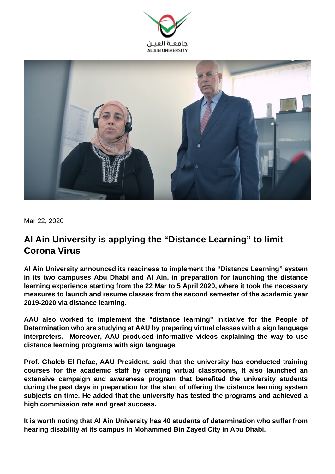



Mar 22, 2020

## **Al Ain University is applying the "Distance Learning" to limit Corona Virus**

**Al Ain University announced its readiness to implement the "Distance Learning" system in its two campuses Abu Dhabi and Al Ain, in preparation for launching the distance learning experience starting from the 22 Mar to 5 April 2020, where it took the necessary measures to launch and resume classes from the second semester of the academic year 2019-2020 via distance learning.**

**AAU also worked to implement the "distance learning" initiative for the People of Determination who are studying at AAU by preparing virtual classes with a sign language interpreters. Moreover, AAU produced informative videos explaining the way to use distance learning programs with sign language.**

**Prof. Ghaleb El Refae, AAU President, said that the university has conducted training courses for the academic staff by creating virtual classrooms, It also launched an extensive campaign and awareness program that benefited the university students during the past days in preparation for the start of offering the distance learning system subjects on time. He added that the university has tested the programs and achieved a high commission rate and great success.**

**It is worth noting that Al Ain University has 40 students of determination who suffer from hearing disability at its campus in Mohammed Bin Zayed City in Abu Dhabi.**